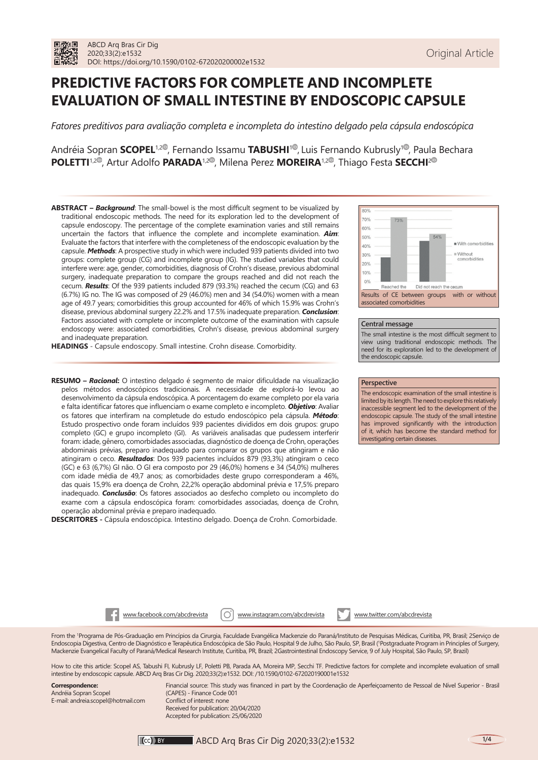# **PREDICTIVE FACTORS FOR COMPLETE AND INCOMPLETE EVALUATION OF SMALL INTESTINE BY ENDOSCOPIC CAPSULE**

*Fatores preditivos para avaliação completa e incompleta do intestino delgado pela cápsula endoscópica*

Andréia Sopran **SCOPEL<sup>1[,](https://orcid.org/0000-0002-3150-2164)2®</sup>, Fernando Issamu <b>TABUSHI**<sup>[1](https://orcid.org/0000-0002-6546-9841)®</sup>, Luis Fernando Kubrusly<sup>1®</sup>, Paula Bechara **POLETTI<sup>1,[2](https://orcid.org/0000-0003-1818-6934)®</sup>[,](https://orcid.org/0000-0002-3563-7998) Artur Adolfo <b>PARADA<sup>1,2®</sup>, Milena Perez MOREIRA<sup>1,2®</sup>, Thiago Festa SECCHI<sup>2®</sup>** 

**ABSTRACT –** *Background*: The small-bowel is the most difficult segment to be visualized by traditional endoscopic methods. The need for its exploration led to the development of capsule endoscopy. The percentage of the complete examination varies and still remains uncertain the factors that influence the complete and incomplete examination. *Aim*: Evaluate the factors that interfere with the completeness of the endoscopic evaluation by the capsule. *Methods*: A prospective study in which were included 939 patients divided into two groups: complete group (CG) and incomplete group (IG). The studied variables that could interfere were: age, gender, comorbidities, diagnosis of Crohn's disease, previous abdominal surgery, inadequate preparation to compare the groups reached and did not reach the cecum. *Results*: Of the 939 patients included 879 (93.3%) reached the cecum (CG) and 63 (6.7%) IG no. The IG was composed of 29 (46.0%) men and 34 (54.0%) women with a mean age of 49.7 years; comorbidities this group accounted for 46% of which 15.9% was Crohn's disease, previous abdominal surgery 22.2% and 17.5% inadequate preparation. *Conclusion*: Factors associated with complete or incomplete outcome of the examination with capsule endoscopy were: associated comorbidities, Crohn's disease, previous abdominal surgery and inadequate preparation.

**HEADINGS** - Capsule endoscopy. Small intestine. Crohn disease. Comorbidity.

**RESUMO –** *Racional***:** O intestino delgado é segmento de maior dificuldade na visualização pelos métodos endoscópicos tradicionais. A necessidade de explorá-lo levou ao desenvolvimento da cápsula endoscópica. A porcentagem do exame completo por ela varia e falta identificar fatores que influenciam o exame completo e incompleto. *Objetivo*: Avaliar os fatores que interfiram na completude do estudo endoscópico pela cápsula. *Método*: Estudo prospectivo onde foram incluídos 939 pacientes divididos em dois grupos: grupo completo (GC) e grupo incompleto (GI). As variáveis analisadas que pudessem interferir foram: idade, gênero, comorbidades associadas, diagnóstico de doença de Crohn, operações abdominais prévias, preparo inadequado para comparar os grupos que atingiram e não atingiram o ceco. *Resultados*: Dos 939 pacientes incluídos 879 (93,3%) atingiram o ceco (GC) e 63 (6,7%) GI não. O GI era composto por 29 (46,0%) homens e 34 (54,0%) mulheres com idade média de 49,7 anos; as comorbidades deste grupo corresponderam a 46%, das quais 15,9% era doença de Crohn, 22,2% operação abdominal prévia e 17,5% preparo inadequado. *Conclusão*: Os fatores associados ao desfecho completo ou incompleto do exame com a cápsula endoscópica foram: comorbidades associadas, doença de Crohn, operação abdominal prévia e preparo inadequado.

**DESCRITORES -** Cápsula endoscópica. Intestino delgado. Doença de Crohn. Comorbidade.



#### **Central message**

The small intestine is the most difficult segment to view using traditional endoscopic methods. The need for its exploration led to the development of the endoscopic capsule.

#### **Perspective**

The endoscopic examination of the small intestine is limited by its length. The need to explore this relatively inaccessible segment led to the development of the endoscopic capsule. The study of the small intestine has improved significantly with the introduction of it, which has become the standard method for investigating certain diseases.

www.facebook.com/abcdrevista | O | www.instagram.com/abcdrevista www.twitter.com/abcdrevista

From the 1 Programa de Pós-Graduação em Princípios da Cirurgia, Faculdade Evangélica Mackenzie do Paraná/Instituto de Pesquisas Médicas, Curitiba, PR, Brasil; 2Serviço de Endoscopia Digestiva, Centro de Diagnóstico e Terapêutica Endoscópica de São Paulo, Hospital 9 de Julho, São Paulo, SP, Brasil (1 Postgraduate Program in Principles of Surgery, Mackenzie Evangelical Faculty of Paraná/Medical Research Institute, Curitiba, PR, Brazil; 2Gastrointestinal Endoscopy Service, 9 of July Hospital, São Paulo, SP, Brazil)

How to cite this article: Scopel AS, Tabushi FI, Kubrusly LF, Poletti PB, Parada AA, Moreira MP, Secchi TF. Predictive factors for complete and incomplete evaluation of small intestine by endoscopic capsule. ABCD Arq Bras Cir Dig. 2020;33(2):e1532. DOI: /10.1590/0102-672020190001e1532

**Correspondence:**  Andréia Sopran Scopel E-mail: andreia.scopel@hotmail.com

Financial source: This study was financed in part by the Coordenação de Aperfeiçoamento de Pessoal de Nível Superior - Brasil (CAPES) - Finance Code 001 Conflict of interest: none Received for publication: 20/04/2020 Accepted for publication: 25/06/2020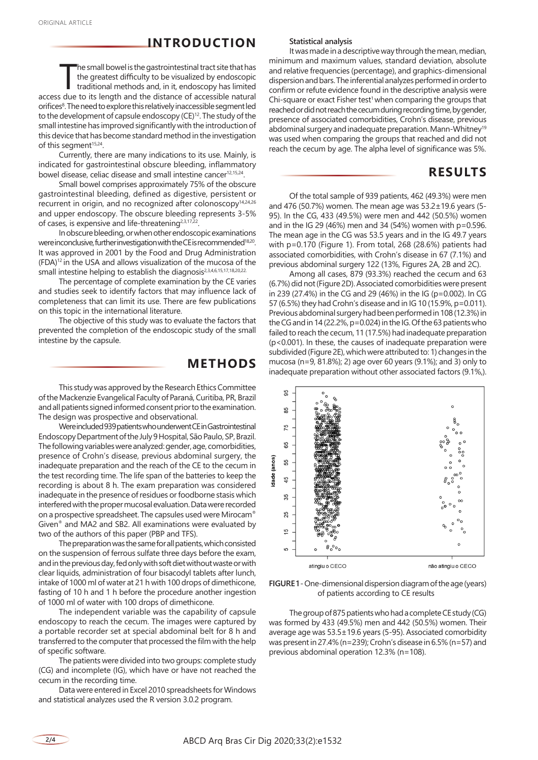### **INTRODUCTION**

The small bowel is the gastrointestinal tract site that has<br>the greatest difficulty to be visualized by endoscopic<br>traditional methods and, in it, endoscopy has limited<br>access due to its length and the distance of accessib he small bowel is the gastrointestinal tract site that has the greatest difficulty to be visualized by endoscopic traditional methods and, in it, endoscopy has limited orifices8. The need to explore this relatively inaccessible segment led to the development of capsule endoscopy (CE)<sup>12</sup>. The study of the small intestine has improved significantly with the introduction of this device that has become standard method in the investigation of this segment<sup>15,24</sup>.

Currently, there are many indications to its use. Mainly, is indicated for gastrointestinal obscure bleeding, inflammatory bowel disease, celiac disease and small intestine cancer<sup>12,15,24</sup>.

Small bowel comprises approximately 75% of the obscure gastrointestinal bleeding, defined as digestive, persistent or recurrent in origin, and no recognized after colonoscopy14,24,26 and upper endoscopy. The obscure bleeding represents 3-5% of cases, is expensive and life-threatening<sup>2,3,17,22</sup>.

In obscure bleeding, or when other endoscopic examinations were inconclusive, further investigation with the CE is recommended<sup>18,20</sup>. It was approved in 2001 by the Food and Drug Administration (FDA)12 in the USA and allows visualization of the mucosa of the small intestine helping to establish the diagnosis<sup>2,3,4,6,15,17,18,20,22.</sup>

The percentage of complete examination by the CE varies and studies seek to identify factors that may influence lack of completeness that can limit its use. There are few publications on this topic in the international literature.

The objective of this study was to evaluate the factors that prevented the completion of the endoscopic study of the small intestine by the capsule.

### **METHODS**

This study was approved by the Research Ethics Committee of the Mackenzie Evangelical Faculty of Paraná, Curitiba, PR, Brazil and all patients signed informed consent prior to the examination. The design was prospective and observational.

Were included 939 patients who underwent CE in Gastrointestinal Endoscopy Department of the July 9 Hospital, São Paulo, SP, Brazil. The following variables were analyzed: gender, age, comorbidities, presence of Crohn's disease, previous abdominal surgery, the inadequate preparation and the reach of the CE to the cecum in the test recording time. The life span of the batteries to keep the recording is about 8 h. The exam preparation was considered inadequate in the presence of residues or foodborne stasis which interfered with the proper mucosal evaluation. Data were recorded on a prospective spreadsheet. The capsules used were Mirocam® Given® and MA2 and SB2. All examinations were evaluated by two of the authors of this paper (PBP and TFS).

The preparation was the same for all patients, which consisted on the suspension of ferrous sulfate three days before the exam, and in the previous day, fed only with soft diet without waste or with clear liquids, administration of four bisacodyl tablets after lunch, intake of 1000 ml of water at 21 h with 100 drops of dimethicone, fasting of 10 h and 1 h before the procedure another ingestion of 1000 ml of water with 100 drops of dimethicone.

The independent variable was the capability of capsule endoscopy to reach the cecum. The images were captured by a portable recorder set at special abdominal belt for 8 h and transferred to the computer that processed the film with the help of specific software.

The patients were divided into two groups: complete study (CG) and incomplete (IG), which have or have not reached the cecum in the recording time.

Data were entered in Excel 2010 spreadsheets for Windows and statistical analyzes used the R version 3.0.2 program.

#### **Statistical analysis**

It was made in a descriptive way through the mean, median, minimum and maximum values, standard deviation, absolute and relative frequencies (percentage), and graphics-dimensional dispersion and bars. The inferential analyzes performed in order to confirm or refute evidence found in the descriptive analysis were Chi-square or exact Fisher test<sup>1</sup> when comparing the groups that reached or did not reach the cecum during recording time, by gender, presence of associated comorbidities, Crohn's disease, previous abdominal surgery and inadequate preparation. Mann-Whitney<sup>19</sup> was used when comparing the groups that reached and did not reach the cecum by age. The alpha level of significance was 5%.

## **RESULTS**

Of the total sample of 939 patients, 462 (49.3%) were men and 476 (50.7%) women. The mean age was 53.2±19.6 years (5- 95). In the CG, 433 (49.5%) were men and 442 (50.5%) women and in the IG 29 (46%) men and 34 (54%) women with p=0.596. The mean age in the CG was 53.5 years and in the IG 49.7 years with p=0.170 (Figure 1). From total, 268 (28.6%) patients had associated comorbidities, with Crohn's disease in 67 (7.1%) and previous abdominal surgery 122 (13%, Figures 2A, 2B and 2C).

Among all cases, 879 (93.3%) reached the cecum and 63 (6.7%) did not (Figure 2D). Associated comorbidities were present in 239 (27.4%) in the CG and 29 (46%) in the IG (p=0.002). In CG 57 (6.5%) they had Crohn's disease and in IG 10 (15.9%, p=0.011). Previous abdominal surgery had been performed in 108 (12.3%) in the CG and in 14 (22.2%, p=0.024) in the IG. Of the 63 patients who failed to reach the cecum, 11 (17.5%) had inadequate preparation (p<0.001). In these, the causes of inadequate preparation were subdivided (Figure 2E), which were attributed to: 1) changes in the mucosa (n=9, 81.8%); 2) age over 60 years (9.1%); and 3) only to inadequate preparation without other associated factors (9.1%,).



**FIGURE 1** - One-dimensional dispersion diagram of the age (years) of patients according to CE results

The group of 875 patients who had a complete CE study (CG) was formed by 433 (49.5%) men and 442 (50.5%) women. Their average age was 53.5±19.6 years (5-95). Associated comorbidity was present in 27.4% (n=239); Crohn's disease in 6.5% (n=57) and previous abdominal operation 12.3% (n=108).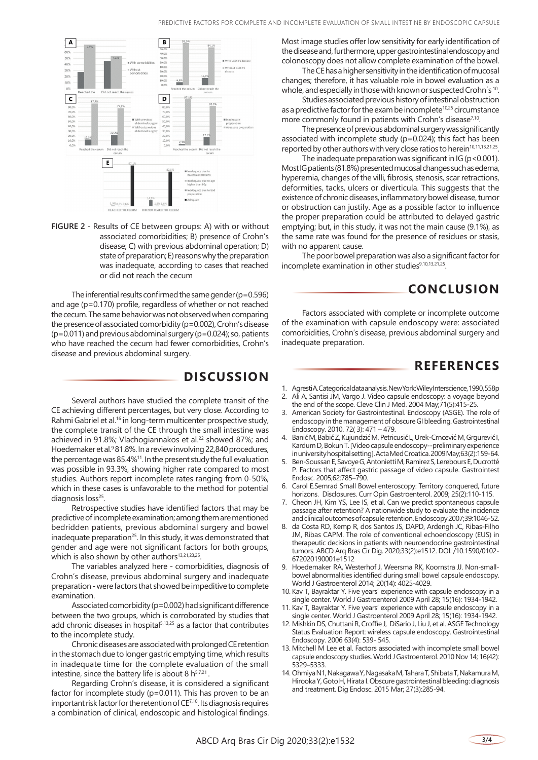

**FIGURE 2** - Results of CE between groups: A) with or without associated comorbidities; B) presence of Crohn's disease; C) with previous abdominal operation; D) state of preparation; E) reasons why the preparation was inadequate, according to cases that reached or did not reach the cecum

The inferential results confirmed the same gender ( $p=0.596$ ) and age (p=0.170) profile, regardless of whether or not reached the cecum. The same behavior was not observed when comparing the presence of associated comorbidity (p=0.002), Crohn's disease  $(p=0.011)$  and previous abdominal surgery  $(p=0.024)$ ; so, patients who have reached the cecum had fewer comorbidities, Crohn's disease and previous abdominal surgery.

### **DISCUSSION**

Several authors have studied the complete transit of the CE achieving different percentages, but very close. According to Rahmi Gabriel et al.<sup>16</sup> in long-term multicenter prospective study, the complete transit of the CE through the small intestine was achieved in 91.8%; Vlachogiannakos et al.<sup>22</sup> showed 87%; and Hoedemaker et al.<sup>9</sup> 81.8%. In a review involving 22,840 procedures, the percentage was 85.4%11. In the present study the full evaluation was possible in 93.3%, showing higher rate compared to most studies. Authors report incomplete rates ranging from 0-50%, which in these cases is unfavorable to the method for potential diagnosis loss<sup>25</sup>.

Retrospective studies have identified factors that may be predictive of incomplete examination; among them are mentioned bedridden patients, previous abdominal surgery and bowel inadequate preparation<sup>25</sup>. In this study, it was demonstrated that gender and age were not significant factors for both groups, which is also shown by other authors<sup>13,21,23,25</sup>.

The variables analyzed here - comorbidities, diagnosis of Crohn's disease, previous abdominal surgery and inadequate preparation - were factors that showed be impeditive to complete examination.

Associated comorbidity (p=0.002) had significant difference between the two groups, which is corroborated by studies that add chronic diseases in hospital<sup>5,13,25</sup> as a factor that contributes to the incomplete study.

Chronic diseases are associated with prolonged CE retention in the stomach due to longer gastric emptying time, which results in inadequate time for the complete evaluation of the small intestine, since the battery life is about 8  $h^{5,7,21}$ .

Regarding Crohn's disease, it is considered a significant factor for incomplete study (p=0.011). This has proven to be an important risk factor for the retention of CE7,10. Its diagnosis requires a combination of clinical, endoscopic and histological findings. Most image studies offer low sensitivity for early identification of the disease and, furthermore, upper gastrointestinal endoscopy and colonoscopy does not allow complete examination of the bowel.

The CE has a higher sensitivity in the identification of mucosal changes; therefore, it has valuable role in bowel evaluation as a whole, and especially in those with known or suspected Crohn´s 10.

Studies associated previous history of intestinal obstruction as a predictive factor for the exam be incomplete<sup>10,25</sup> circumstance more commonly found in patients with Crohn's disease<sup>7,10</sup>.

The presence of previous abdominal surgery was significantly associated with incomplete study (p=0.024); this fact has been reported by other authors with very close ratios to herein<sup>10,11,13,21,25</sup>.

The inadequate preparation was significant in  $IG (p < 0.001)$ . Most IG patients (81.8%) presented mucosal changes such as edema, hyperemia, changes of the villi, fibrosis, stenosis, scar retractions, deformities, tacks, ulcers or diverticula. This suggests that the existence of chronic diseases, inflammatory bowel disease, tumor or obstruction can justify. Age as a possible factor to influence the proper preparation could be attributed to delayed gastric emptying; but, in this study, it was not the main cause (9.1%), as the same rate was found for the presence of residues or stasis, with no apparent cause.

The poor bowel preparation was also a significant factor for incomplete examination in other studies<sup>9,10,13,21,25</sup>.

# **CONCLUSION**

Factors associated with complete or incomplete outcome of the examination with capsule endoscopy were: associated comorbidities, Crohn's disease, previous abdominal surgery and inadequate preparation.

## **REFERENCES**

- 1. Agresti A. Categorical data analysis. New York: Wiley Interscience, 1990, 558p
- 2. Ali A, Santisi JM, Vargo J. Video capsule endoscopy: a voyage beyond the end of the scope. Cleve Clin J Med. 2004 May;71(5):415-25.
- 3. American Society for Gastrointestinal. Endoscopy (ASGE). The role of endoscopy in the management of obscure GI bleeding. Gastrointestinal Endoscopy. 2010. 72( 3): 471 – 479.
- 4. Banić M, Babić Z, Kujundzić M, Petricusić L, Urek-Crncević M, Grgurević I, Kardum D, Bokun T. [Video capsule endoscopy--preliminary experience in university hospital setting]. Acta Med Croatica. 2009 May;63(2):159-64.
- 5. Ben-Soussan E, Savoye G, Antonietti M, Ramirez S, Lerebours E, Ducrotté P. Factors that affect gastric passage of video capsule. Gastrointest Endosc. 2005;62:785–790.
- 6. Carol E.Semrad Small Bowel enteroscopy: Territory conquered, future horizons. Disclosures. Curr Opin Gastroenterol. 2009; 25(2):110-115.
- 7. Cheon JH, Kim YS, Lee IS, et al. Can we predict spontaneous capsule passage after retention? A nationwide study to evaluate the incidence and clinical outcomes of capsule retention. Endoscopy 2007;39:1046-52.
- da Costa RD, Kemp R, dos Santos JS, DAPD, Ardengh JC, Ribas-Filho JM, Ribas CAPM. The role of conventional echoendoscopy (EUS) in therapeutic decisions in patients with neuroendocrine gastrointestinal tumors. ABCD Arq Bras Cir Dig. 2020;33(2):e1512. DOI: /10.1590/0102- 672020190001e1512
- Hoedemaker RA, Westerhof J, Weersma RK, Koornstra JJ. Non-smallbowel abnormalities identified during small bowel capsule endoscopy. World J Gastroenterol 2014; 20(14): 4025-4029.
- 10. Kav T, Bayraktar Y. Five years' experience with capsule endoscopy in a single center. World J Gastroenterol 2009 April 28; 15(16): 1934-1942.
- . Kav T, Bayraktar Y. Five years' experience with capsule endoscopy in a single center. World J Gastroenterol 2009 April 28; 15(16): 1934-1942.
- 12. Mishkin DS, Chuttani R, Croffie J, DiSario J, Liu J, et al. ASGE Technology Status Evaluation Report: wireless capsule endoscopy. Gastrointestinal Endoscopy. 2006 63(4): 539- 545.
- 13. Mitchell M Lee et al. Factors associated with incomplete small bowel capsule endoscopy studies. World J Gastroenterol. 2010 Nov 14; 16(42): 5329–5333.
- 14. Ohmiya N1, Nakagawa Y, Nagasaka M, Tahara T, Shibata T, Nakamura M, Hirooka Y, Goto H, Hirata I. Obscure gastrointestinal bleeding: diagnosis and treatment. Dig Endosc. 2015 Mar; 27(3):285-94.